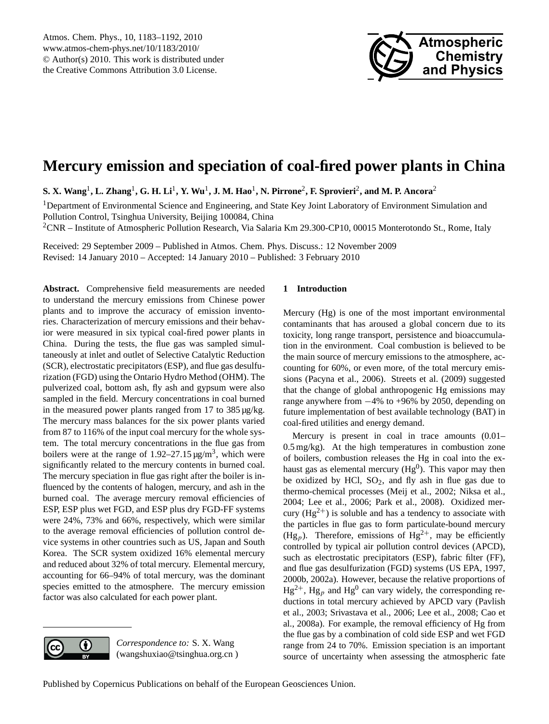

# <span id="page-0-0"></span>**Mercury emission and speciation of coal-fired power plants in China**

 ${\bf S.~X.~Wang}^1, {\bf L.~Zhang}^1, {\bf G.~H.~Li}^1, {\bf Y.~Wu}^1, {\bf J.~M.~Hao}^1, {\bf N.~Pirrone}^2, {\bf F.~Sprovieri}^2, {\bf and~M.~P.~Ancora}^2$ 

<sup>1</sup>Department of Environmental Science and Engineering, and State Key Joint Laboratory of Environment Simulation and Pollution Control, Tsinghua University, Beijing 100084, China <sup>2</sup>CNR – Institute of Atmospheric Pollution Research, Via Salaria Km 29.300-CP10, 00015 Monterotondo St., Rome, Italy

Received: 29 September 2009 – Published in Atmos. Chem. Phys. Discuss.: 12 November 2009 Revised: 14 January 2010 – Accepted: 14 January 2010 – Published: 3 February 2010

**Abstract.** Comprehensive field measurements are needed to understand the mercury emissions from Chinese power plants and to improve the accuracy of emission inventories. Characterization of mercury emissions and their behavior were measured in six typical coal-fired power plants in China. During the tests, the flue gas was sampled simultaneously at inlet and outlet of Selective Catalytic Reduction (SCR), electrostatic precipitators (ESP), and flue gas desulfurization (FGD) using the Ontario Hydro Method (OHM). The pulverized coal, bottom ash, fly ash and gypsum were also sampled in the field. Mercury concentrations in coal burned in the measured power plants ranged from 17 to 385 µg/kg. The mercury mass balances for the six power plants varied from 87 to 116% of the input coal mercury for the whole system. The total mercury concentrations in the flue gas from boilers were at the range of  $1.92-27.15 \mu g/m^3$ , which were significantly related to the mercury contents in burned coal. The mercury speciation in flue gas right after the boiler is influenced by the contents of halogen, mercury, and ash in the burned coal. The average mercury removal efficiencies of ESP, ESP plus wet FGD, and ESP plus dry FGD-FF systems were 24%, 73% and 66%, respectively, which were similar to the average removal efficiencies of pollution control device systems in other countries such as US, Japan and South Korea. The SCR system oxidized 16% elemental mercury and reduced about 32% of total mercury. Elemental mercury, accounting for 66–94% of total mercury, was the dominant species emitted to the atmosphere. The mercury emission factor was also calculated for each power plant.

# **1 Introduction**

Mercury (Hg) is one of the most important environmental contaminants that has aroused a global concern due to its toxicity, long range transport, persistence and bioaccumulation in the environment. Coal combustion is believed to be the main source of mercury emissions to the atmosphere, accounting for 60%, or even more, of the total mercury emissions (Pacyna et al., 2006). Streets et al. (2009) suggested that the change of global anthropogenic Hg emissions may range anywhere from −4% to +96% by 2050, depending on future implementation of best available technology (BAT) in coal-fired utilities and energy demand.

Mercury is present in coal in trace amounts  $(0.01 -$ 0.5 mg/kg). At the high temperatures in combustion zone of boilers, combustion releases the Hg in coal into the exhaust gas as elemental mercury ( $Hg^0$ ). This vapor may then be oxidized by HCl,  $SO_2$ , and fly ash in flue gas due to thermo-chemical processes (Meij et al., 2002; Niksa et al., 2004; Lee et al., 2006; Park et al., 2008). Oxidized mercury  $(Hg^{2+})$  is soluble and has a tendency to associate with the particles in flue gas to form particulate-bound mercury (Hg<sub>p</sub>). Therefore, emissions of Hg<sup>2+</sup>, may be efficiently controlled by typical air pollution control devices (APCD), such as electrostatic precipitators (ESP), fabric filter (FF), and flue gas desulfurization (FGD) systems (US EPA, 1997, 2000b, 2002a). However, because the relative proportions of  $Hg^{2+}$ ,  $Hg_p$  and  $Hg^0$  can vary widely, the corresponding reductions in total mercury achieved by APCD vary (Pavlish et al., 2003; Srivastava et al., 2006; Lee et al., 2008; Cao et al., 2008a). For example, the removal efficiency of Hg from the flue gas by a combination of cold side ESP and wet FGD range from 24 to 70%. Emission speciation is an important source of uncertainty when assessing the atmospheric fate



*Correspondence to:* S. X. Wang (wangshuxiao@tsinghua.org.cn )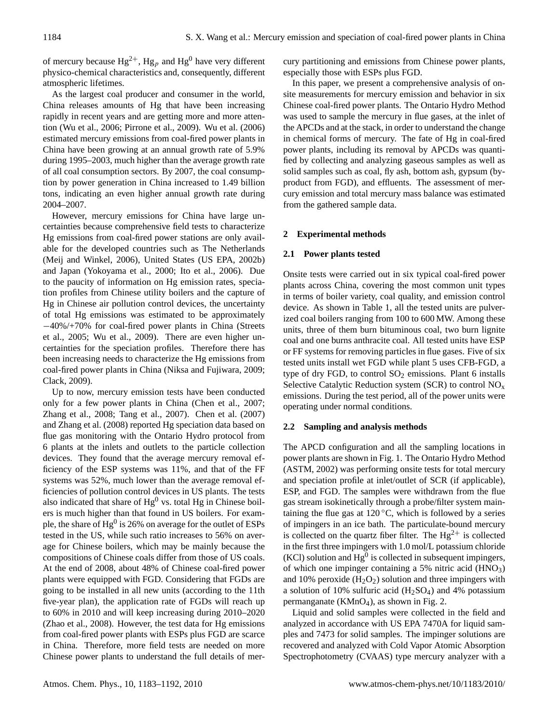of mercury because  $Hg^{2+}$ ,  $Hg_p$  and  $Hg^0$  have very different physico-chemical characteristics and, consequently, different atmospheric lifetimes.

As the largest coal producer and consumer in the world, China releases amounts of Hg that have been increasing rapidly in recent years and are getting more and more attention (Wu et al., 2006; Pirrone et al., 2009). Wu et al. (2006) estimated mercury emissions from coal-fired power plants in China have been growing at an annual growth rate of 5.9% during 1995–2003, much higher than the average growth rate of all coal consumption sectors. By 2007, the coal consumption by power generation in China increased to 1.49 billion tons, indicating an even higher annual growth rate during 2004–2007.

However, mercury emissions for China have large uncertainties because comprehensive field tests to characterize Hg emissions from coal-fired power stations are only available for the developed countries such as The Netherlands (Meij and Winkel, 2006), United States (US EPA, 2002b) and Japan (Yokoyama et al., 2000; Ito et al., 2006). Due to the paucity of information on Hg emission rates, speciation profiles from Chinese utility boilers and the capture of Hg in Chinese air pollution control devices, the uncertainty of total Hg emissions was estimated to be approximately −40%/+70% for coal-fired power plants in China (Streets et al., 2005; Wu et al., 2009). There are even higher uncertainties for the speciation profiles. Therefore there has been increasing needs to characterize the Hg emissions from coal-fired power plants in China (Niksa and Fujiwara, 2009; Clack, 2009).

Up to now, mercury emission tests have been conducted only for a few power plants in China (Chen et al., 2007; Zhang et al., 2008; Tang et al., 2007). Chen et al. (2007) and Zhang et al. (2008) reported Hg speciation data based on flue gas monitoring with the Ontario Hydro protocol from 6 plants at the inlets and outlets to the particle collection devices. They found that the average mercury removal efficiency of the ESP systems was 11%, and that of the FF systems was 52%, much lower than the average removal efficiencies of pollution control devices in US plants. The tests also indicated that share of  $Hg^0$  vs. total  $Hg$  in Chinese boilers is much higher than that found in US boilers. For example, the share of Hg $^0$  is 26% on average for the outlet of ESPs tested in the US, while such ratio increases to 56% on average for Chinese boilers, which may be mainly because the compositions of Chinese coals differ from those of US coals. At the end of 2008, about 48% of Chinese coal-fired power plants were equipped with FGD. Considering that FGDs are going to be installed in all new units (according to the 11th five-year plan), the application rate of FGDs will reach up to 60% in 2010 and will keep increasing during 2010–2020 (Zhao et al., 2008). However, the test data for Hg emissions from coal-fired power plants with ESPs plus FGD are scarce in China. Therefore, more field tests are needed on more Chinese power plants to understand the full details of mercury partitioning and emissions from Chinese power plants, especially those with ESPs plus FGD.

In this paper, we present a comprehensive analysis of onsite measurements for mercury emission and behavior in six Chinese coal-fired power plants. The Ontario Hydro Method was used to sample the mercury in flue gases, at the inlet of the APCDs and at the stack, in order to understand the change in chemical forms of mercury. The fate of Hg in coal-fired power plants, including its removal by APCDs was quantified by collecting and analyzing gaseous samples as well as solid samples such as coal, fly ash, bottom ash, gypsum (byproduct from FGD), and effluents. The assessment of mercury emission and total mercury mass balance was estimated from the gathered sample data.

## **2 Experimental methods**

## **2.1 Power plants tested**

Onsite tests were carried out in six typical coal-fired power plants across China, covering the most common unit types in terms of boiler variety, coal quality, and emission control device. As shown in Table 1, all the tested units are pulverized coal boilers ranging from 100 to 600 MW. Among these units, three of them burn bituminous coal, two burn lignite coal and one burns anthracite coal. All tested units have ESP or FF systems for removing particles in flue gases. Five of six tested units install wet FGD while plant 5 uses CFB-FGD, a type of dry FGD, to control  $SO<sub>2</sub>$  emissions. Plant 6 installs Selective Catalytic Reduction system (SCR) to control  $NO<sub>x</sub>$ emissions. During the test period, all of the power units were operating under normal conditions.

## **2.2 Sampling and analysis methods**

The APCD configuration and all the sampling locations in power plants are shown in Fig. 1. The Ontario Hydro Method (ASTM, 2002) was performing onsite tests for total mercury and speciation profile at inlet/outlet of SCR (if applicable), ESP, and FGD. The samples were withdrawn from the flue gas stream isokinetically through a probe/filter system maintaining the flue gas at  $120\,^{\circ}\text{C}$ , which is followed by a series of impingers in an ice bath. The particulate-bound mercury is collected on the quartz fiber filter. The  $Hg^{2+}$  is collected in the first three impingers with 1.0 mol/L potassium chloride  $(KCl)$  solution and  $Hg^0$  is collected in subsequent impingers, of which one impinger containing a 5% nitric acid  $(HNO<sub>3</sub>)$ and 10% peroxide  $(H_2O_2)$  solution and three impingers with a solution of 10% sulfuric acid  $(H_2SO_4)$  and 4% potassium permanganate ( $KMnO<sub>4</sub>$ ), as shown in Fig. 2.

Liquid and solid samples were collected in the field and analyzed in accordance with US EPA 7470A for liquid samples and 7473 for solid samples. The impinger solutions are recovered and analyzed with Cold Vapor Atomic Absorption Spectrophotometry (CVAAS) type mercury analyzer with a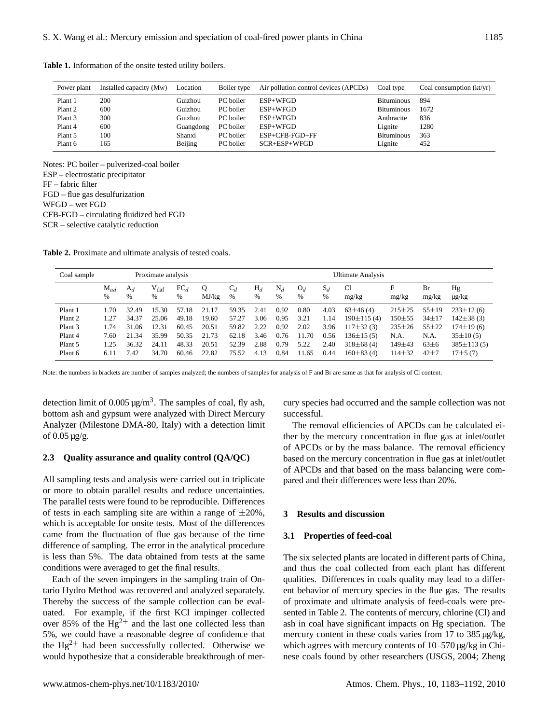| Power plant | Installed capacity (Mw) | Location  | Boiler type | Air pollution control devices (APCDs) | Coal type         | Coal consumption $(kt/yr)$ |
|-------------|-------------------------|-----------|-------------|---------------------------------------|-------------------|----------------------------|
| Plant 1     | 200                     | Guizhou   | PC boiler   | $ESP+WFGD$                            | <b>Bituminous</b> | 894                        |
| Plant 2     | 600                     | Guizhou   | PC boiler   | $ESP+WFGD$                            | <b>Bituminous</b> | 1672                       |
| Plant 3     | 300                     | Guizhou   | PC boiler   | $ESP+WFGD$                            | Anthracite        | 836                        |
| Plant 4     | 600                     | Guangdong | PC boiler   | $ESP+WFGD$                            | Lignite           | 1280                       |
| Plant 5     | 100                     | Shanxi    | PC boiler   | ESP+CFB-FGD+FF                        | <b>Bituminous</b> | 363                        |
| Plant 6     | 165                     | Beijing   | PC boiler   | $SCR + ESP + WFGD$                    | Lignite           | 452                        |

**Table 1.** Information of the onsite tested utility boilers.

Notes: PC boiler – pulverized-coal boiler ESP – electrostatic precipitator FF – fabric filter FGD – flue gas desulfurization WFGD – wet FGD CFB-FGD – circulating fluidized bed FGD SCR – selective catalytic reduction

**Table 2.** Proximate and ultimate analysis of tested coals.

| Coal sample | Proximate analysis |            |                       |                      | Ultimate Analysis |            |            |            |            |            |                 |              |             |                  |
|-------------|--------------------|------------|-----------------------|----------------------|-------------------|------------|------------|------------|------------|------------|-----------------|--------------|-------------|------------------|
|             | $M_{ad}$<br>%      | $A_d$<br>% | $V_{\text{daf}}$<br>% | FC <sub>d</sub><br>% | Q<br>MJ/kg        | $C_d$<br>% | $H_d$<br>% | $N_d$<br>% | $O_d$<br>% | $S_d$<br>% | C1<br>mg/kg     | F<br>mg/kg   | Br<br>mg/kg | Hg<br>$\mu$ g/kg |
| Plant 1     | 1.70               | 32.49      | 15.30                 | 57.18                | 21.17             | 59.35      | 2.41       | 0.92       | 0.80       | 4.03       | $63\pm46(4)$    | $215 \pm 25$ | $55 \pm 19$ | $233\pm12(6)$    |
| Plant 2     | 1.27               | 34.37      | 25.06                 | 49.18                | 19.60             | 57.27      | 3.06       | 0.95       | 3.21       | 1.14       | $190\pm115(4)$  | $150 + 55$   | $34 + 17$   | $142\pm38(3)$    |
| Plant 3     | 1.74               | 31.06      | 12.31                 | 60.45                | 20.51             | 59.82      | 2.22       | 0.92       | 2.02       | 3.96       | $117\pm32(3)$   | $235 \pm 26$ | $55 + 22$   | $174\pm19(6)$    |
| Plant 4     | 7.60               | 21.34      | 35.99                 | 50.35                | 21.73             | 62.18      | 3.46       | 0.76       | 11.70      | 0.56       | $136\pm 15(5)$  | N.A.         | N.A.        | $35\pm10(5)$     |
| Plant 5     | 1.25               | 36.32      | 24.11                 | 48.33                | 20.51             | 52.39      | 2.88       | 0.79       | 5.22       | 2.40       | $318\pm 68$ (4) | $149 + 43$   | $63\pm6$    | $385 \pm 113(5)$ |
| Plant 6     | 6.11               | 7.42       | 34.70                 | 60.46                | 22.82             | 75.52      | 4.13       | 0.84       | 11.65      | 0.44       | $160\pm83(4)$   | $114\pm32$   | $42 + 7$    | $17\pm 5(7)$     |

Note: the numbers in brackets are number of samples analyzed; the numbers of samples for analysis of F and Br are same as that for analysis of Cl content.

detection limit of  $0.005 \,\mathrm{\upmu g/m^3}$ . The samples of coal, fly ash, bottom ash and gypsum were analyzed with Direct Mercury Analyzer (Milestone DMA-80, Italy) with a detection limit of  $0.05 \mu$ g/g.

# **2.3 Quality assurance and quality control (QA/QC)**

All sampling tests and analysis were carried out in triplicate or more to obtain parallel results and reduce uncertainties. The parallel tests were found to be reproducible. Differences of tests in each sampling site are within a range of  $\pm 20\%$ , which is acceptable for onsite tests. Most of the differences came from the fluctuation of flue gas because of the time difference of sampling. The error in the analytical procedure is less than 5%. The data obtained from tests at the same conditions were averaged to get the final results.

Each of the seven impingers in the sampling train of Ontario Hydro Method was recovered and analyzed separately. Thereby the success of the sample collection can be evaluated. For example, if the first KCl impinger collected over 85% of the  $Hg^{2+}$  and the last one collected less than 5%, we could have a reasonable degree of confidence that the  $Hg^{2+}$  had been successfully collected. Otherwise we would hypothesize that a considerable breakthrough of mercury species had occurred and the sample collection was not successful.

The removal efficiencies of APCDs can be calculated either by the mercury concentration in flue gas at inlet/outlet of APCDs or by the mass balance. The removal efficiency based on the mercury concentration in flue gas at inlet/outlet of APCDs and that based on the mass balancing were compared and their differences were less than 20%.

#### **3 Results and discussion**

## **3.1 Properties of feed-coal**

The six selected plants are located in different parts of China, and thus the coal collected from each plant has different qualities. Differences in coals quality may lead to a different behavior of mercury species in the flue gas. The results of proximate and ultimate analysis of feed-coals were presented in Table 2. The contents of mercury, chlorine (Cl) and ash in coal have significant impacts on Hg speciation. The mercury content in these coals varies from 17 to 385  $\mu$ g/kg, which agrees with mercury contents of 10–570 µg/kg in Chinese coals found by other researchers (USGS, 2004; Zheng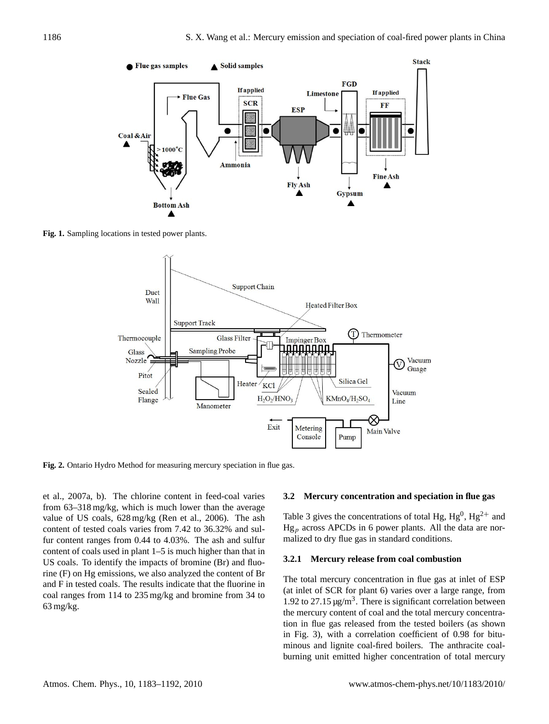

**Fig. 1.** Sampling locations in tested power plants.



**Fig. 2.** Ontario Hydro Method for measuring mercury speciation in flue gas.

et al., 2007a, b). The chlorine content in feed-coal varies from 63–318 mg/kg, which is much lower than the average value of US coals, 628 mg/kg (Ren et al., 2006). The ash content of tested coals varies from 7.42 to 36.32% and sulfur content ranges from 0.44 to 4.03%. The ash and sulfur content of coals used in plant 1–5 is much higher than that in US coals. To identify the impacts of bromine (Br) and fluorine (F) on Hg emissions, we also analyzed the content of Br and F in tested coals. The results indicate that the fluorine in coal ranges from 114 to 235 mg/kg and bromine from 34 to 63 mg/kg.

## **3.2 Mercury concentration and speciation in flue gas**

Table 3 gives the concentrations of total Hg,  $Hg^{0}$ ,  $Hg^{2+}$  and  $Hg_p$  across APCDs in 6 power plants. All the data are normalized to dry flue gas in standard conditions.

#### **3.2.1 Mercury release from coal combustion**

The total mercury concentration in flue gas at inlet of ESP (at inlet of SCR for plant 6) varies over a large range, from 1.92 to 27.15  $\mu$ g/m<sup>3</sup>. There is significant correlation between the mercury content of coal and the total mercury concentration in flue gas released from the tested boilers (as shown in Fig. 3), with a correlation coefficient of 0.98 for bituminous and lignite coal-fired boilers. The anthracite coalburning unit emitted higher concentration of total mercury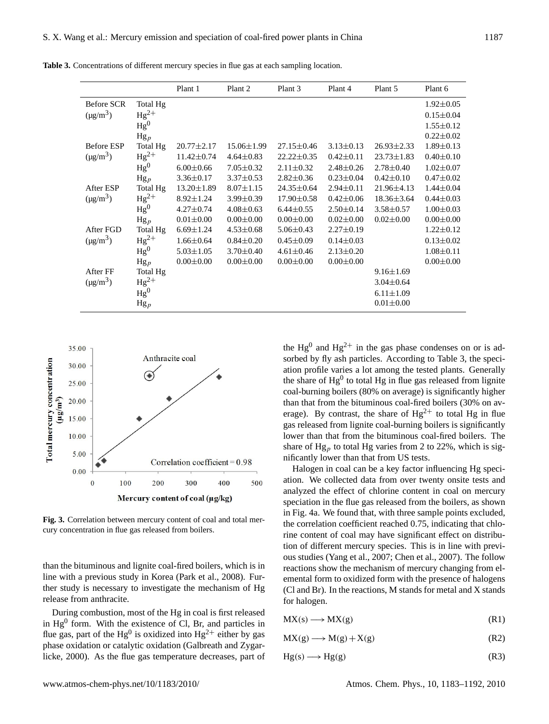**Table 3.** Concentrations of different mercury species in flue gas at each sampling location.

|                   |                 | Plant 1          | Plant 2          | Plant 3          | Plant 4         | Plant 5          | Plant 6         |
|-------------------|-----------------|------------------|------------------|------------------|-----------------|------------------|-----------------|
| <b>Before SCR</b> | Total Hg        |                  |                  |                  |                 |                  | $1.92 \pm 0.05$ |
| $(\mu g/m^3)$     | $Hg^{2+}$       |                  |                  |                  |                 |                  | $0.15 \pm 0.04$ |
|                   | Hg <sup>0</sup> |                  |                  |                  |                 |                  | $1.55 \pm 0.12$ |
|                   | $Hg_p$          |                  |                  |                  |                 |                  | $0.22 \pm 0.02$ |
| <b>Before ESP</b> | Total Hg        | $20.77 \pm 2.17$ | $15.06 \pm 1.99$ | $27.15 \pm 0.46$ | $3.13 \pm 0.13$ | $26.93 \pm 2.33$ | $1.89 \pm 0.13$ |
| $(\mu g/m^3)$     | $Hg^{2+}$       | $11.42 \pm 0.74$ | $4.64 \pm 0.83$  | $22.22 \pm 0.35$ | $0.42 \pm 0.11$ | $23.73 \pm 1.83$ | $0.40 \pm 0.10$ |
|                   | Hg <sup>0</sup> | $6.00 \pm 0.66$  | $7.05 \pm 0.32$  | $2.11 \pm 0.32$  | $2.48 \pm 0.26$ | $2.78 \pm 0.40$  | $1.02 \pm 0.07$ |
|                   | $Hg_p$          | $3.36 \pm 0.17$  | $3.37 \pm 0.53$  | $2.82 \pm 0.36$  | $0.23 \pm 0.04$ | $0.42 \pm 0.10$  | $0.47 \pm 0.02$ |
| After ESP         | Total Hg        | $13.20 \pm 1.89$ | $8.07 \pm 1.15$  | $24.35 \pm 0.64$ | $2.94 \pm 0.11$ | 21.96±4.13       | $1.44 \pm 0.04$ |
| $(\mu g/m^3)$     | $Hg^{2+}$       | $8.92 \pm 1.24$  | $3.99 \pm 0.39$  | $17.90 \pm 0.58$ | $0.42 \pm 0.06$ | $18.36 \pm 3.64$ | $0.44 \pm 0.03$ |
|                   | Hg <sup>0</sup> | $4.27 \pm 0.74$  | $4.08 \pm 0.63$  | $6.44 \pm 0.55$  | $2.50 \pm 0.14$ | $3.58 \pm 0.57$  | $1.00 \pm 0.03$ |
|                   | $Hg_p$          | $0.01 \pm 0.00$  | $0.00 \pm 0.00$  | $0.00 \pm 0.00$  | $0.02 \pm 0.00$ | $0.02 \pm 0.00$  | $0.00 \pm 0.00$ |
| After FGD         | Total Hg        | $6.69 \pm 1.24$  | $4.53 \pm 0.68$  | $5.06 \pm 0.43$  | $2.27 \pm 0.19$ |                  | $1.22 \pm 0.12$ |
| $(\mu g/m^3)$     | $Hg^{2+}$       | $1.66 \pm 0.64$  | $0.84 \pm 0.20$  | $0.45 \pm 0.09$  | $0.14 \pm 0.03$ |                  | $0.13 \pm 0.02$ |
|                   | Hg <sup>0</sup> | $5.03 \pm 1.05$  | $3.70 \pm 0.40$  | $4.61 \pm 0.46$  | $2.13 \pm 0.20$ |                  | $1.08 \pm 0.11$ |
|                   | $Hg_p$          | $0.00 \pm 0.00$  | $0.00 \pm 0.00$  | $0.00 \pm 0.00$  | $0.00 \pm 0.00$ |                  | $0.00 \pm 0.00$ |
| After FF          | Total Hg        |                  |                  |                  |                 | $9.16 \pm 1.69$  |                 |
| $(\mu g/m^3)$     | $Hg^{2+}$       |                  |                  |                  |                 | $3.04 \pm 0.64$  |                 |
|                   | Hg <sup>0</sup> |                  |                  |                  |                 | $6.11 \pm 1.09$  |                 |
|                   | $Hg_p$          |                  |                  |                  |                 | $0.01 \pm 0.00$  |                 |



**Fig. 3.** Correlation between mercury content of coal and total mercury concentration in flue gas released from boilers.

than the bituminous and lignite coal-fired boilers, which is in line with a previous study in Korea (Park et al., 2008). Further study is necessary to investigate the mechanism of Hg release from anthracite.

During combustion, most of the Hg in coal is first released in  $Hg<sup>0</sup>$  form. With the existence of Cl, Br, and particles in flue gas, part of the Hg<sup>0</sup> is oxidized into Hg<sup>2+</sup> either by gas phase oxidation or catalytic oxidation (Galbreath and Zygarlicke, 2000). As the flue gas temperature decreases, part of

the  $Hg^0$  and  $Hg^{2+}$  in the gas phase condenses on or is adsorbed by fly ash particles. According to Table 3, the speciation profile varies a lot among the tested plants. Generally the share of  $Hg<sup>0</sup>$  to total  $Hg$  in flue gas released from lignite coal-burning boilers (80% on average) is significantly higher than that from the bituminous coal-fired boilers (30% on average). By contrast, the share of  $Hg^{2+}$  to total Hg in flue gas released from lignite coal-burning boilers is significantly lower than that from the bituminous coal-fired boilers. The share of Hg<sub>p</sub> to total Hg varies from 2 to 22%, which is significantly lower than that from US tests.

Halogen in coal can be a key factor influencing Hg speciation. We collected data from over twenty onsite tests and analyzed the effect of chlorine content in coal on mercury speciation in the flue gas released from the boilers, as shown in Fig. 4a. We found that, with three sample points excluded, the correlation coefficient reached 0.75, indicating that chlorine content of coal may have significant effect on distribution of different mercury species. This is in line with previous studies (Yang et al., 2007; Chen et al., 2007). The follow reactions show the mechanism of mercury changing from elemental form to oxidized form with the presence of halogens (Cl and Br). In the reactions, M stands for metal and X stands for halogen.

| $MX(s) \longrightarrow MX(g)$ | (R1) |
|-------------------------------|------|
|                               |      |

$$
MX(g) \longrightarrow M(g) + X(g) \tag{R2}
$$

$$
Hg(s) \longrightarrow Hg(g) \tag{R3}
$$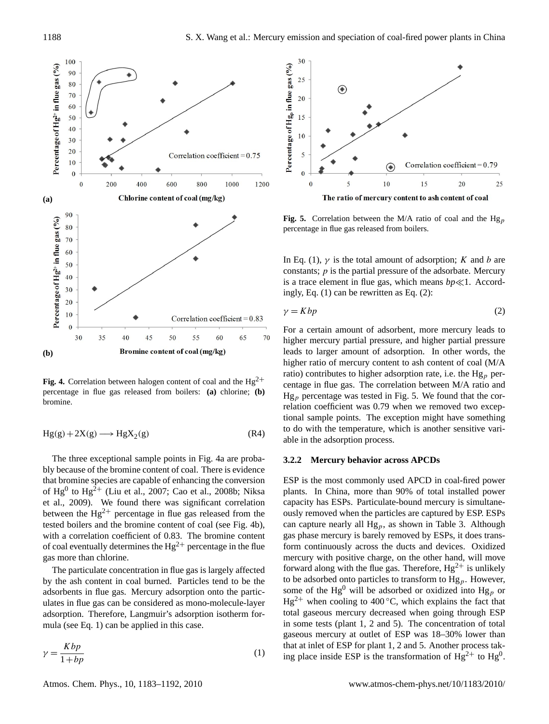

**Fig. 4.** Correlation between halogen content of coal and the  $Hg^{2+}$ percentage in flue gas released from boilers: **(a)** chlorine; **(b)** bromine.

$$
Hg(g) + 2X(g) \longrightarrow HgX_2(g)
$$
 (R4)

The three exceptional sample points in Fig. 4a are probably because of the bromine content of coal. There is evidence that bromine species are capable of enhancing the conversion of  $Hg^0$  to  $Hg^2$ <sup>+</sup> (Liu et al., 2007; Cao et al., 2008b; Niksa et al., 2009). We found there was significant correlation between the  $Hg^{2+}$  percentage in flue gas released from the tested boilers and the bromine content of coal (see Fig. 4b), with a correlation coefficient of 0.83. The bromine content of coal eventually determines the  $Hg^{2+}$  percentage in the flue gas more than chlorine.

The particulate concentration in flue gas is largely affected by the ash content in coal burned. Particles tend to be the adsorbents in flue gas. Mercury adsorption onto the particulates in flue gas can be considered as mono-molecule-layer adsorption. Therefore, Langmuir's adsorption isotherm formula (see Eq. 1) can be applied in this case.

$$
\gamma = \frac{Kbp}{1 + bp} \tag{1}
$$



**Fig. 5.** Correlation between the M/A ratio of coal and the  $Hg_p$ percentage in flue gas released from boilers.

In Eq. (1),  $\gamma$  is the total amount of adsorption; K and b are constants;  $p$  is the partial pressure of the adsorbate. Mercury is a trace element in flue gas, which means  $bp \ll 1$ . Accordingly, Eq. (1) can be rewritten as Eq. (2):

$$
\gamma = Kbp \tag{2}
$$

For a certain amount of adsorbent, more mercury leads to higher mercury partial pressure, and higher partial pressure leads to larger amount of adsorption. In other words, the higher ratio of mercury content to ash content of coal (M/A ratio) contributes to higher adsorption rate, i.e. the  $Hg_p$  percentage in flue gas. The correlation between M/A ratio and  $Hg_p$  percentage was tested in Fig. 5. We found that the correlation coefficient was 0.79 when we removed two exceptional sample points. The exception might have something to do with the temperature, which is another sensitive variable in the adsorption process.

#### **3.2.2 Mercury behavior across APCDs**

ESP is the most commonly used APCD in coal-fired power plants. In China, more than 90% of total installed power capacity has ESPs. Particulate-bound mercury is simultaneously removed when the particles are captured by ESP. ESPs can capture nearly all  $Hg_p$ , as shown in Table 3. Although gas phase mercury is barely removed by ESPs, it does transform continuously across the ducts and devices. Oxidized mercury with positive charge, on the other hand, will move forward along with the flue gas. Therefore,  $Hg^{2+}$  is unlikely to be adsorbed onto particles to transform to  $Hg_p$ . However, some of the Hg<sup>0</sup> will be adsorbed or oxidized into Hg<sub>p</sub> or  $Hg^{2+}$  when cooling to 400 °C, which explains the fact that total gaseous mercury decreased when going through ESP in some tests (plant 1, 2 and 5). The concentration of total gaseous mercury at outlet of ESP was 18–30% lower than that at inlet of ESP for plant 1, 2 and 5. Another process taking place inside ESP is the transformation of  $Hg^{2+}$  to  $Hg^{0}$ .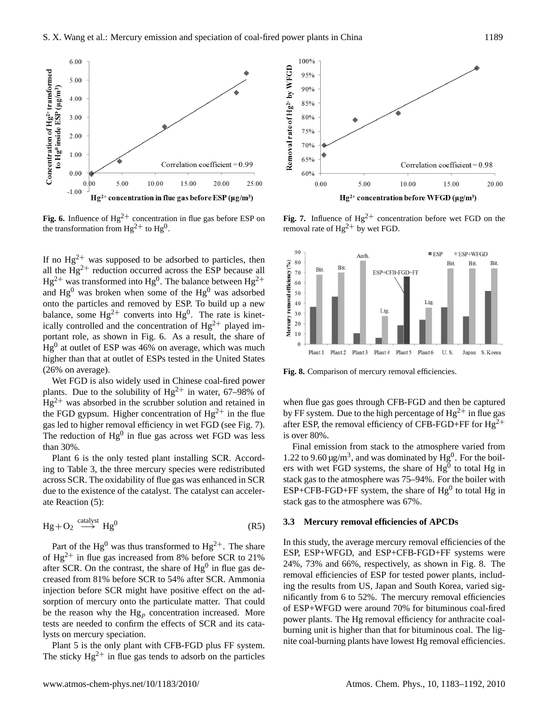

**Fig. 6.** Influence of  $Hg^{2+}$  concentration in flue gas before ESP on the transformation from  $Hg^{2+}$  to  $Hg^{0}$ .

If no  $Hg^{2+}$  was supposed to be adsorbed to particles, then all the  $Hg^{2+}$  reduction occurred across the ESP because all  $Hg^{2+}$  was transformed into  $Hg^{0}$ . The balance between  $Hg^{2+}$ and  $Hg^0$  was broken when some of the  $Hg^0$  was adsorbed onto the particles and removed by ESP. To build up a new balance, some  $Hg^{2+}$  converts into  $Hg^{0}$ . The rate is kinetically controlled and the concentration of  $Hg^{2+}$  played important role, as shown in Fig. 6. As a result, the share of  $Hg<sup>0</sup>$  at outlet of ESP was 46% on average, which was much higher than that at outlet of ESPs tested in the United States (26% on average).

Wet FGD is also widely used in Chinese coal-fired power plants. Due to the solubility of  $Hg^{2+}$  in water, 67–98% of  $Hg^{2+}$  was absorbed in the scrubber solution and retained in the FGD gypsum. Higher concentration of  $Hg^{2+}$  in the flue gas led to higher removal efficiency in wet FGD (see Fig. 7). The reduction of  $Hg^0$  in flue gas across wet FGD was less than 30%.

Plant 6 is the only tested plant installing SCR. According to Table 3, the three mercury species were redistributed across SCR. The oxidability of flue gas was enhanced in SCR due to the existence of the catalyst. The catalyst can accelerate Reaction (5):

$$
Hg + O_2 \xrightarrow{catalyst} Hg^0 \tag{R5}
$$

Part of the Hg<sup>0</sup> was thus transformed to Hg<sup>2+</sup>. The share of  $Hg^{2+}$  in flue gas increased from 8% before SCR to 21% after SCR. On the contrast, the share of  $Hg^0$  in flue gas decreased from 81% before SCR to 54% after SCR. Ammonia injection before SCR might have positive effect on the adsorption of mercury onto the particulate matter. That could be the reason why the  $Hg_p$  concentration increased. More tests are needed to confirm the effects of SCR and its catalysts on mercury speciation.

Plant 5 is the only plant with CFB-FGD plus FF system. The sticky  $Hg^{2+}$  in flue gas tends to adsorb on the particles



**Fig. 7.** Influence of  $Hg^{2+}$  concentration before wet FGD on the removal rate of  $Hg^{2+}$  by wet FGD.



Fig. 8. Comparison of mercury removal efficiencies.

when flue gas goes through CFB-FGD and then be captured by FF system. Due to the high percentage of  $Hg^{2+}$  in flue gas after ESP, the removal efficiency of CFB-FGD+FF for  $Hg^{2+}$ is over 80%.

Final emission from stack to the atmosphere varied from 1.22 to 9.60  $\mu$ g/m<sup>3</sup>, and was dominated by Hg<sup>0</sup>. For the boilers with wet FGD systems, the share of  $Hg^0$  to total Hg in stack gas to the atmosphere was 75–94%. For the boiler with  $ESP+CFB-FGD+FF$  system, the share of  $Hg^0$  to total Hg in stack gas to the atmosphere was 67%.

## **3.3 Mercury removal efficiencies of APCDs**

In this study, the average mercury removal efficiencies of the ESP, ESP+WFGD, and ESP+CFB-FGD+FF systems were 24%, 73% and 66%, respectively, as shown in Fig. 8. The removal efficiencies of ESP for tested power plants, including the results from US, Japan and South Korea, varied significantly from 6 to 52%. The mercury removal efficiencies of ESP+WFGD were around 70% for bituminous coal-fired power plants. The Hg removal efficiency for anthracite coalburning unit is higher than that for bituminous coal. The lignite coal-burning plants have lowest Hg removal efficiencies.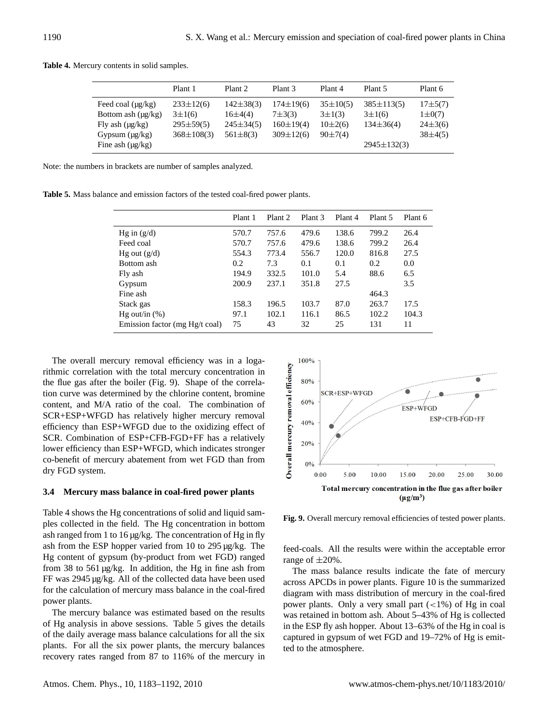|                                                                                                                           | Plant 1                                                              | Plant <sub>2</sub>                                                | Plant <sub>3</sub>                                                  | Plant 4                                                      | Plant 5                                                                | Plant 6                                                    |
|---------------------------------------------------------------------------------------------------------------------------|----------------------------------------------------------------------|-------------------------------------------------------------------|---------------------------------------------------------------------|--------------------------------------------------------------|------------------------------------------------------------------------|------------------------------------------------------------|
| Feed coal $(\mu g/kg)$<br>Bottom ash $(\mu g/kg)$<br>Fly ash $(\mu g/kg)$<br>Gypsum $(\mu g/kg)$<br>Fine ash $(\mu g/kg)$ | $233\pm12(6)$<br>$3 \pm 1(6)$<br>$295 \pm 59(5)$<br>$368 \pm 108(3)$ | $142\pm38(3)$<br>$16\pm4(4)$<br>$245 \pm 34(5)$<br>$561 \pm 8(3)$ | $174 \pm 19(6)$<br>$7 + 3(3)$<br>$160 \pm 19(4)$<br>$309 \pm 12(6)$ | $35 \pm 10(5)$<br>$3 \pm 1(3)$<br>$10\pm2(6)$<br>$90\pm7(4)$ | $385 \pm 113(5)$<br>$3 \pm 1(6)$<br>$134\pm36(4)$<br>$2945 \pm 132(3)$ | $17\pm 5(7)$<br>$1 \pm 0(7)$<br>$24\pm3(6)$<br>$38\pm4(5)$ |
|                                                                                                                           |                                                                      |                                                                   |                                                                     |                                                              |                                                                        |                                                            |

**Table 4.** Mercury contents in solid samples.

Note: the numbers in brackets are number of samples analyzed.

**Table 5.** Mass balance and emission factors of the tested coal-fired power plants.

|                                | Plant 1 | Plant <sub>2</sub> | Plant <sub>3</sub> | Plant 4 | Plant 5 | Plant 6 |
|--------------------------------|---------|--------------------|--------------------|---------|---------|---------|
| Hg in $(g/d)$                  | 570.7   | 757.6              | 479.6              | 138.6   | 799.2   | 26.4    |
| Feed coal                      | 570.7   | 757.6              | 479.6              | 138.6   | 799.2   | 26.4    |
| Hg out $(g/d)$                 | 554.3   | 773.4              | 556.7              | 120.0   | 816.8   | 27.5    |
| Bottom ash                     | 0.2     | 7.3                | 0.1                | 0.1     | 0.2     | 0.0     |
| Fly ash                        | 194.9   | 332.5              | 101.0              | 5.4     | 88.6    | 6.5     |
| Gypsum                         | 200.9   | 237.1              | 351.8              | 27.5    |         | 3.5     |
| Fine ash                       |         |                    |                    |         | 464.3   |         |
| Stack gas                      | 158.3   | 196.5              | 103.7              | 87.0    | 263.7   | 17.5    |
| Hg out/in $(\%)$               | 97.1    | 102.1              | 116.1              | 86.5    | 102.2   | 104.3   |
| Emission factor (mg Hg/t coal) | 75      | 43                 | 32                 | 25      | 131     | 11      |

The overall mercury removal efficiency was in a logarithmic correlation with the total mercury concentration in the flue gas after the boiler (Fig. 9). Shape of the correlation curve was determined by the chlorine content, bromine content, and M/A ratio of the coal. The combination of SCR+ESP+WFGD has relatively higher mercury removal efficiency than ESP+WFGD due to the oxidizing effect of SCR. Combination of ESP+CFB-FGD+FF has a relatively lower efficiency than ESP+WFGD, which indicates stronger co-benefit of mercury abatement from wet FGD than from dry FGD system.

## **3.4 Mercury mass balance in coal-fired power plants**

Table 4 shows the Hg concentrations of solid and liquid samples collected in the field. The Hg concentration in bottom ash ranged from 1 to 16 µg/kg. The concentration of Hg in fly ash from the ESP hopper varied from 10 to 295 µg/kg. The Hg content of gypsum (by-product from wet FGD) ranged from 38 to 561 µg/kg. In addition, the Hg in fine ash from FF was 2945 µg/kg. All of the collected data have been used for the calculation of mercury mass balance in the coal-fired power plants.

The mercury balance was estimated based on the results of Hg analysis in above sessions. Table 5 gives the details of the daily average mass balance calculations for all the six plants. For all the six power plants, the mercury balances recovery rates ranged from 87 to 116% of the mercury in



**Fig. 9.** Overall mercury removal efficiencies of tested power plants.

feed-coals. All the results were within the acceptable error range of  $\pm 20\%$ .

The mass balance results indicate the fate of mercury across APCDs in power plants. Figure 10 is the summarized diagram with mass distribution of mercury in the coal-fired power plants. Only a very small part  $(<1%)$  of Hg in coal was retained in bottom ash. About 5–43% of Hg is collected in the ESP fly ash hopper. About 13–63% of the Hg in coal is captured in gypsum of wet FGD and 19–72% of Hg is emitted to the atmosphere.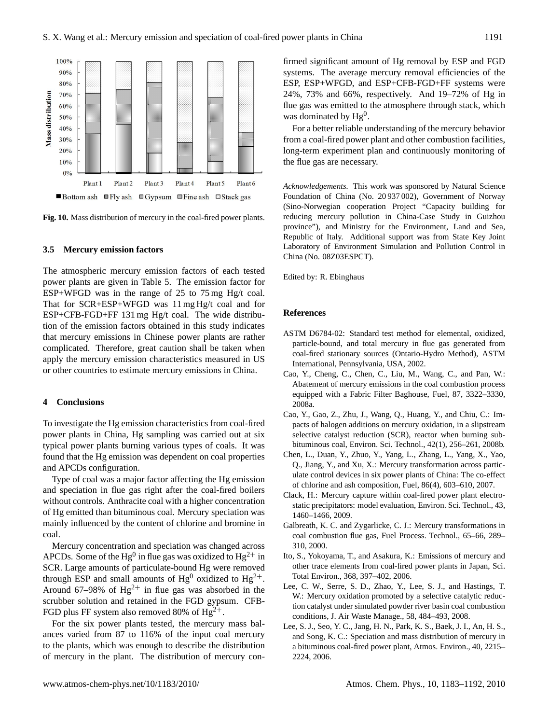

**Fig. 10.** Mass distribution of mercury in the coal-fired power plants.

#### **3.5 Mercury emission factors**

The atmospheric mercury emission factors of each tested power plants are given in Table 5. The emission factor for ESP+WFGD was in the range of 25 to 75 mg Hg/t coal. That for SCR+ESP+WFGD was 11 mg Hg/t coal and for ESP+CFB-FGD+FF 131 mg Hg/t coal. The wide distribution of the emission factors obtained in this study indicates that mercury emissions in Chinese power plants are rather complicated. Therefore, great caution shall be taken when apply the mercury emission characteristics measured in US or other countries to estimate mercury emissions in China.

#### **4 Conclusions**

To investigate the Hg emission characteristics from coal-fired power plants in China, Hg sampling was carried out at six typical power plants burning various types of coals. It was found that the Hg emission was dependent on coal properties and APCDs configuration.

Type of coal was a major factor affecting the Hg emission and speciation in flue gas right after the coal-fired boilers without controls. Anthracite coal with a higher concentration of Hg emitted than bituminous coal. Mercury speciation was mainly influenced by the content of chlorine and bromine in coal.

Mercury concentration and speciation was changed across APCDs. Some of the Hg<sup>0</sup> in flue gas was oxidized to Hg<sup>2+</sup> in SCR. Large amounts of particulate-bound Hg were removed through ESP and small amounts of  $Hg^0$  oxidized to  $Hg^{2+}$ . Around 67–98% of  $Hg^{2+}$  in flue gas was absorbed in the scrubber solution and retained in the FGD gypsum. CFB-FGD plus FF system also removed 80% of  $Hg^{2+}$ .

For the six power plants tested, the mercury mass balances varied from 87 to 116% of the input coal mercury to the plants, which was enough to describe the distribution of mercury in the plant. The distribution of mercury confirmed significant amount of Hg removal by ESP and FGD systems. The average mercury removal efficiencies of the ESP, ESP+WFGD, and ESP+CFB-FGD+FF systems were 24%, 73% and 66%, respectively. And 19–72% of Hg in flue gas was emitted to the atmosphere through stack, which was dominated by  $Hg^0$ .

For a better reliable understanding of the mercury behavior from a coal-fired power plant and other combustion facilities, long-term experiment plan and continuously monitoring of the flue gas are necessary.

*Acknowledgements.* This work was sponsored by Natural Science Foundation of China (No. 20 937 002), Government of Norway (Sino-Norwegian cooperation Project "Capacity building for reducing mercury pollution in China-Case Study in Guizhou province"), and Ministry for the Environment, Land and Sea, Republic of Italy. Additional support was from State Key Joint Laboratory of Environment Simulation and Pollution Control in China (No. 08Z03ESPCT).

Edited by: R. Ebinghaus

#### **References**

- ASTM D6784-02: Standard test method for elemental, oxidized, particle-bound, and total mercury in flue gas generated from coal-fired stationary sources (Ontario-Hydro Method), ASTM International, Pennsylvania, USA, 2002.
- Cao, Y., Cheng, C., Chen, C., Liu, M., Wang, C., and Pan, W.: Abatement of mercury emissions in the coal combustion process equipped with a Fabric Filter Baghouse, Fuel, 87, 3322–3330, 2008a.
- Cao, Y., Gao, Z., Zhu, J., Wang, Q., Huang, Y., and Chiu, C.: Impacts of halogen additions on mercury oxidation, in a slipstream selective catalyst reduction (SCR), reactor when burning subbituminous coal, Environ. Sci. Technol., 42(1), 256–261, 2008b.
- Chen, L., Duan, Y., Zhuo, Y., Yang, L., Zhang, L., Yang, X., Yao, Q., Jiang, Y., and Xu, X.: Mercury transformation across particulate control devices in six power plants of China: The co-effect of chlorine and ash composition, Fuel, 86(4), 603–610, 2007.
- Clack, H.: Mercury capture within coal-fired power plant electrostatic precipitators: model evaluation, Environ. Sci. Technol., 43, 1460–1466, 2009.
- Galbreath, K. C. and Zygarlicke, C. J.: Mercury transformations in coal combustion flue gas, Fuel Process. Technol., 65–66, 289– 310, 2000.
- Ito, S., Yokoyama, T., and Asakura, K.: Emissions of mercury and other trace elements from coal-fired power plants in Japan, Sci. Total Environ., 368, 397–402, 2006.
- Lee, C. W., Serre, S. D., Zhao, Y., Lee, S. J., and Hastings, T. W.: Mercury oxidation promoted by a selective catalytic reduction catalyst under simulated powder river basin coal combustion conditions, J. Air Waste Manage., 58, 484–493, 2008.
- Lee, S. J., Seo, Y. C., Jang, H. N., Park, K. S., Baek, J. I., An, H. S., and Song, K. C.: Speciation and mass distribution of mercury in a bituminous coal-fired power plant, Atmos. Environ., 40, 2215– 2224, 2006.